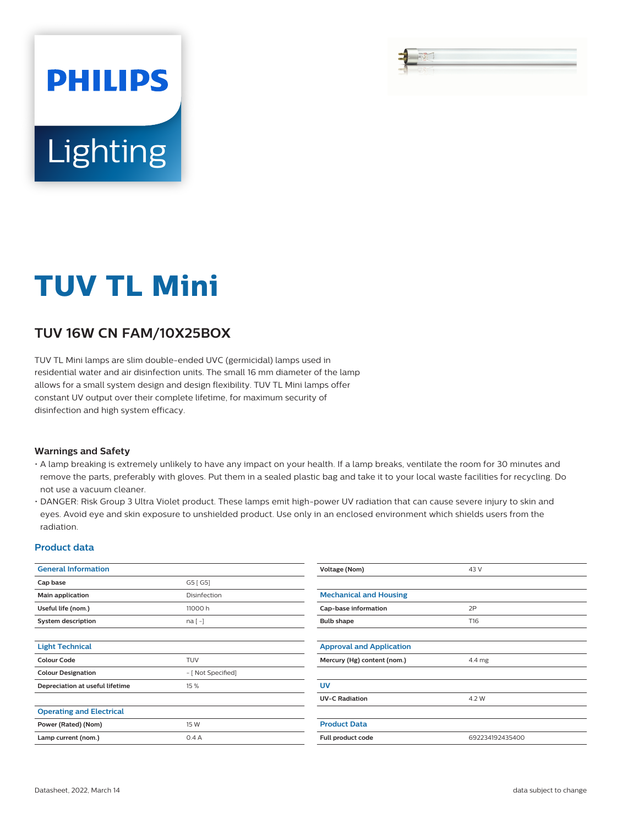# **PHILIPS** Lighting

## **TUV TL Mini**

### **TUV 16W CN FAM/10X25BOX**

TUV TL Mini lamps are slim double-ended UVC (germicidal) lamps used in residential water and air disinfection units. The small 16 mm diameter of the lamp allows for a small system design and design flexibility. TUV TL Mini lamps offer constant UV output over their complete lifetime, for maximum security of disinfection and high system efficacy.

#### **Warnings and Safety**

- A lamp breaking is extremely unlikely to have any impact on your health. If a lamp breaks, ventilate the room for 30 minutes and remove the parts, preferably with gloves. Put them in a sealed plastic bag and take it to your local waste facilities for recycling. Do not use a vacuum cleaner.
- DANGER: Risk Group 3 Ultra Violet product. These lamps emit high-power UV radiation that can cause severe injury to skin and eyes. Avoid eye and skin exposure to unshielded product. Use only in an enclosed environment which shields users from the radiation.

#### **Product data**

| <b>General Information</b>      |                    | Voltage (Nom)                   | 43 V            |  |
|---------------------------------|--------------------|---------------------------------|-----------------|--|
| Cap base                        | G5 [G5]            |                                 |                 |  |
| Main application                | Disinfection       | <b>Mechanical and Housing</b>   |                 |  |
| Useful life (nom.)              | 11000h             | 2P<br>Cap-base information      |                 |  |
| System description              | $na[-]$            | <b>Bulb shape</b>               | T16             |  |
|                                 |                    |                                 |                 |  |
| <b>Light Technical</b>          |                    | <b>Approval and Application</b> |                 |  |
| <b>Colour Code</b>              | <b>TUV</b>         | Mercury (Hg) content (nom.)     | 4.4 mg          |  |
| <b>Colour Designation</b>       | - [ Not Specified] |                                 |                 |  |
| Depreciation at useful lifetime | 15 %               | <b>UV</b>                       |                 |  |
|                                 |                    | <b>UV-C Radiation</b>           | 4.2 W           |  |
| <b>Operating and Electrical</b> |                    |                                 |                 |  |
| Power (Rated) (Nom)             | 15 W               | <b>Product Data</b>             |                 |  |
| Lamp current (nom.)             | 0.4A               | Full product code               | 692234192435400 |  |
|                                 |                    |                                 |                 |  |